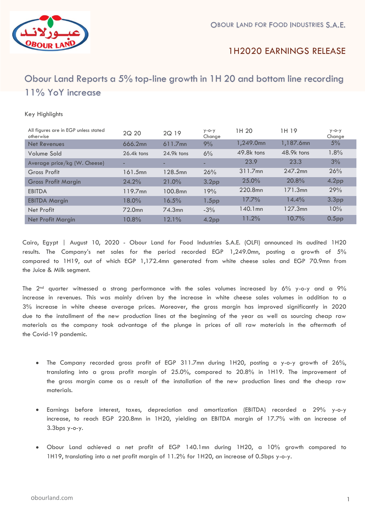

## 1H2020 EARNINGS RELEASE

# **`** Obour Land Reports a 5% top-line growth in 1H 20 and bottom line recording 11% YoY increase

#### Key Highlights

| All figures are in EGP unless stated<br>otherwise | 2Q 20              | 2Q 19      | $y - o - y$<br>Change | 1H 20      | 1H 19      | $y - o - y$<br>Change |
|---------------------------------------------------|--------------------|------------|-----------------------|------------|------------|-----------------------|
| <b>Net Revenues</b>                               | 666.2mn            | $611.7$ mn | 9%                    | 1,249.0mn  | 1,187.6mn  | 5%                    |
| Volume Sold                                       | $26.4k$ tons       | 24.9k tons | 6%                    | 49.8k tons | 48.9k tons | 1.8%                  |
| Average price/kg (W. Cheese)                      | -                  | -          |                       | 23.9       | 23.3       | 3%                    |
| Gross Profit                                      | 161.5mn            | 128.5mn    | 26%                   | 311.7mn    | 247.2mn    | 26%                   |
| <b>Gross Profit Margin</b>                        | 24.2%              | 21.0%      | 3.2 <sub>pp</sub>     | 25.0%      | 20.8%      | 4.2 <sub>pp</sub>     |
| <b>EBITDA</b>                                     | 119.7mn            | 100.8mn    | 19%                   | 220.8mn    | 171.3mn    | 29%                   |
| <b>EBITDA Margin</b>                              | $18.0\%$           | 16.5%      | 1.5 <sub>pp</sub>     | 17.7%      | 14.4%      | 3.3 <sub>pp</sub>     |
| Net Profit                                        | 72.0 <sub>mn</sub> | 74.3mn     | $-3%$                 | $140.1$ mn | 127.3mn    | 10%                   |
| Net Profit Margin                                 | 10.8%              | 12.1%      | 4.2 <sub>pp</sub>     | 11.2%      | 10.7%      | 0.5 <sub>pp</sub>     |

Cairo, Egypt | August 10, 2020 - Obour Land for Food Industries S.A.E. (OLFI) announced its audited 1H20 results. The Company's net sales for the period recorded EGP 1,249.0mn, posting a growth of 5% compared to 1H19, out of which EGP 1,172.4mn generated from white cheese sales and EGP 70.9mn from the Juice & Milk segment.

The 2nd quarter witnessed a strong performance with the sales volumes increased by 6% y-o-y and a 9% increase in revenues. This was mainly driven by the increase in white cheese sales volumes in addition to a 3% increase in white cheese average prices. Moreover, the gross margin has improved significantly in 2020 due to the installment of the new production lines at the beginning of the year as well as sourcing cheap raw materials as the company took advantage of the plunge in prices of all raw materials in the aftermath of the Covid-19 pandemic.

- The Company recorded gross profit of EGP 311.7mn during 1H20, posting a y-o-y growth of 26%, translating into a gross profit margin of 25.0%, compared to 20.8% in 1H19. The improvement of the gross margin came as a result of the installation of the new production lines and the cheap raw materials.
- Earnings before interest, taxes, depreciation and amortization (EBITDA) recorded a 29% y-o-y increase, to reach EGP 220.8mn in 1H20, yielding an EBITDA margin of 17.7% with an increase of 3.3bps y-o-y.
- Obour Land achieved a net profit of EGP 140.1mn during 1H20, a 10% growth compared to 1H19, translating into a net profit margin of 11.2% for 1H20, an increase of 0.5bps y-o-y.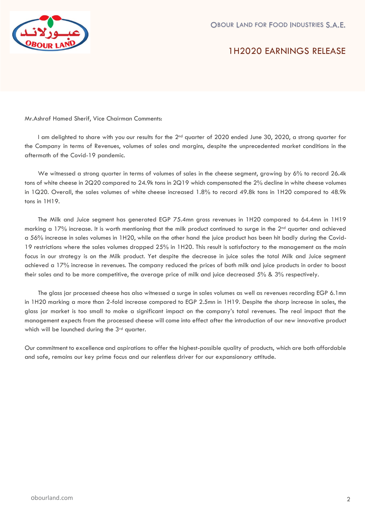

1H2020 EARNINGS RELEASE

Mr.Ashraf Hamed Sherif, Vice Chairman Comments:

I am delighted to share with you our results for the 2<sup>nd</sup> quarter of 2020 ended June 30, 2020, a strong quarter for the Company in terms of Revenues, volumes of sales and margins, despite the unprecedented market conditions in the aftermath of the Covid-19 pandemic.

We witnessed a strong quarter in terms of volumes of sales in the cheese segment, growing by 6% to record 26.4k tons of white cheese in 2Q20 compared to 24.9k tons in 2Q19 which compensated the 2% decline in white cheese volumes in 1Q20. Overall, the sales volumes of white cheese increased 1.8% to record 49.8k tons in 1H20 compared to 48.9k tons in 1H19.

The Milk and Juice segment has generated EGP 75.4mn gross revenues in 1H20 compared to 64.4mn in 1H19 marking a  $17\%$  increase. It is worth mentioning that the milk product continued to surge in the  $2<sup>nd</sup>$  quarter and achieved a 56% increase in sales volumes in 1H20, while on the other hand the juice product has been hit badly during the Covid-19 restrictions where the sales volumes dropped 25% in 1H20. This result is satisfactory to the management as the main focus in our strategy is on the Milk product. Yet despite the decrease in juice sales the total Milk and Juice segment achieved a 17% increase in revenues. The company reduced the prices of both milk and juice products in order to boost their sales and to be more competitive, the average price of milk and juice decreased 5% & 3% respectively.

The glass jar processed cheese has also witnessed a surge in sales volumes as well as revenues recording EGP 6.1mn in 1H20 marking a more than 2-fold increase compared to EGP 2.5mn in 1H19. Despite the sharp increase in sales, the glass jar market is too small to make a significant impact on the company's total revenues. The real impact that the management expects from the processed cheese will come into effect after the introduction of our new innovative product which will be launched during the 3<sup>rd</sup> quarter.

Our commitment to excellence and aspirations to offer the highest-possible quality of products, which are both affordable and safe, remains our key prime focus and our relentless driver for our expansionary attitude.